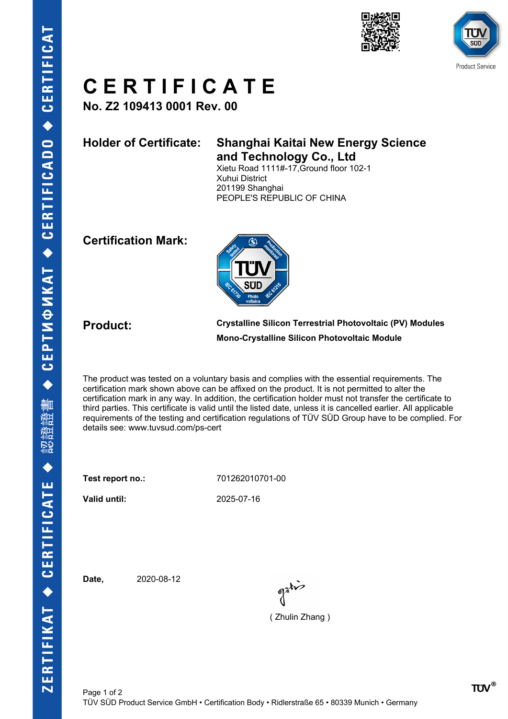



# **C E R T I F I C A T E**

**No. Z2 109413 0001 Rev. 00**

## **Holder of Certificate: Shanghai Kaitai New Energy Science and Technology Co., Ltd**

Xietu Road 1111#-17,Ground floor 102-1 Xuhui District 201199 Shanghai PEOPLE'S REPUBLIC OF CHINA

### **Certification Mark:**



**Product: Crystalline Silicon Terrestrial Photovoltaic (PV) Modules Mono-Crystalline Silicon Photovoltaic Module**

The product was tested on a voluntary basis and complies with the essential requirements. The certification mark shown above can be affixed on the product. It is not permitted to alter the certification mark in any way. In addition, the certification holder must not transfer the certificate to third parties. This certificate is valid until the listed date, unless it is cancelled earlier. All applicable requirements of the testing and certification regulations of TÜV SÜD Group have to be complied. For details see: www.tuvsud.com/ps-cert

**Test report no.:** 701262010701-00

**Valid until:** 2025-07-16

**Date,** 2020-08-12

 $\int_0^{\frac{1}{2}} dx$ 

( Zhulin Zhang )